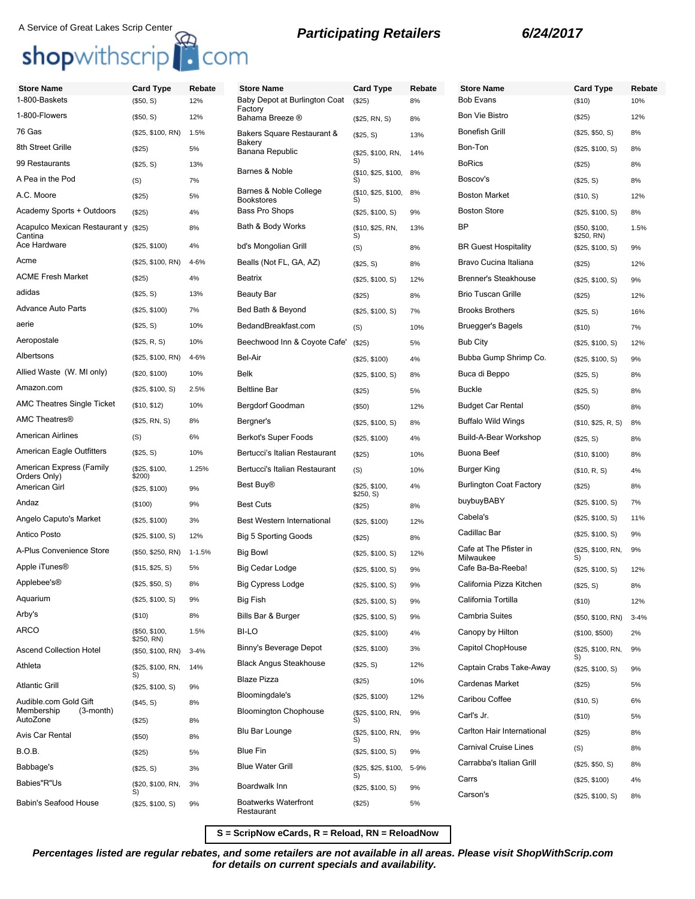# A Service of Great Lakes Scrip Center<br> **Shop**withscrip<sup>1</sup> COM<br> **Shop**withscrip<sup>1</sup> COM

**Store Name Card Type Rebate**

| <b>Store Name</b>                    | <b>Card Type</b>                | Rebate     | <b>Store Name</b>                           | <b>Card Type</b>             | Rebate     | <b>Store Name</b>                   | <b>Card Type</b>               | Reb      |
|--------------------------------------|---------------------------------|------------|---------------------------------------------|------------------------------|------------|-------------------------------------|--------------------------------|----------|
| 1-800-Baskets                        | (\$50, S)                       | 12%        | Baby Depot at Burlington Coat<br>Factory    | (S25)                        | 8%         | <b>Bob Evans</b>                    | (\$10)                         | 10%      |
| 1-800-Flowers                        | (\$50, S)                       | 12%        | Bahama Breeze ®                             | (\$25, RN, S)                | 8%         | <b>Bon Vie Bistro</b>               | (\$25)                         | 12%      |
| 76 Gas                               | (\$25, \$100, RN)               | 1.5%       | Bakers Square Restaurant &                  | (\$25, S)                    | 13%        | <b>Bonefish Grill</b>               | (\$25, \$50, S)                | 8%       |
| 8th Street Grille                    | (\$25)                          | 5%         | Bakery<br>Banana Republic                   | (\$25, \$100, RN,            | 14%        | Bon-Ton                             | (\$25, \$100, S)               | 8%       |
| 99 Restaurants                       | (\$25, S)                       | 13%        | Barnes & Noble                              | S)                           |            | <b>BoRics</b>                       | (\$25)                         | 8%       |
| A Pea in the Pod                     | (S)                             | 7%         |                                             | (\$10, \$25, \$100, 8%<br>S) |            | Boscov's                            | (\$25, S)                      | 8%       |
| A.C. Moore                           | (\$25)                          | 5%         | Barnes & Noble College<br><b>Bookstores</b> | (\$10, \$25, \$100,<br>S)    | 8%         | <b>Boston Market</b>                | (\$10, S)                      | 12%      |
| Academy Sports + Outdoors            | (\$25)                          | 4%         | <b>Bass Pro Shops</b>                       | (\$25, \$100, S)             | 9%         | <b>Boston Store</b>                 | (\$25, \$100, S)               | 8%       |
| Acapulco Mexican Restaurant y (\$25) |                                 | 8%         | Bath & Body Works                           | (\$10, \$25, RN,<br>S)       | 13%        | <b>BP</b>                           | (\$50, \$100,                  | 1.5%     |
| Cantina<br>Ace Hardware              | (\$25, \$100)                   | 4%         | bd's Mongolian Grill                        | (S)                          | 8%         | <b>BR Guest Hospitality</b>         | \$250, RN)<br>(\$25, \$100, S) | 9%       |
| Acme                                 | (\$25, \$100, RN)               | 4-6%       | Bealls (Not FL, GA, AZ)                     | (\$25, S)                    | 8%         | Bravo Cucina Italiana               | (\$25)                         | 12%      |
| <b>ACME Fresh Market</b>             | (\$25)                          | 4%         | Beatrix                                     | (\$25, \$100, S)             | 12%        | <b>Brenner's Steakhouse</b>         | (\$25, \$100, S)               | 9%       |
| adidas                               | (\$25, S)                       | 13%        | <b>Beauty Bar</b>                           | (\$25)                       | 8%         | <b>Brio Tuscan Grille</b>           | (\$25)                         | 12%      |
| <b>Advance Auto Parts</b>            | (\$25, \$100)                   | 7%         | Bed Bath & Beyond                           | (\$25, \$100, S)             | 7%         | <b>Brooks Brothers</b>              | (\$25, S)                      | 16%      |
| aerie                                | (\$25, S)                       | 10%        | BedandBreakfast.com                         | (S)                          | 10%        | Bruegger's Bagels                   | (\$10)                         | 7%       |
| Aeropostale                          | (\$25, R, S)                    | 10%        | Beechwood Inn & Coyote Cafe'                | (\$25)                       | 5%         | <b>Bub City</b>                     | (\$25, \$100, S)               | 12%      |
| Albertsons                           | (\$25, \$100, RN)               | 4-6%       | Bel-Air                                     | (\$25, \$100)                | 4%         | Bubba Gump Shrimp Co.               | (\$25, \$100, S)               | 9%       |
| Allied Waste (W. MI only)            | (\$20, \$100)                   | 10%        | <b>Belk</b>                                 | (\$25, \$100, S)             | 8%         | Buca di Beppo                       | (\$25, S)                      | 8%       |
| Amazon.com                           | (\$25, \$100, S)                | 2.5%       | <b>Beltline Bar</b>                         | (\$25)                       | 5%         | <b>Buckle</b>                       | (\$25, S)                      | 8%       |
| AMC Theatres Single Ticket           | (\$10, \$12)                    | 10%        | Bergdorf Goodman                            | (\$50)                       | 12%        | <b>Budget Car Rental</b>            | (\$50)                         | 8%       |
| <b>AMC Theatres®</b>                 | (\$25, RN, S)                   | 8%         | Bergner's                                   | (\$25, \$100, S)             | 8%         | <b>Buffalo Wild Wings</b>           | (\$10, \$25, R, S)             | 8%       |
| <b>American Airlines</b>             | (S)                             | 6%         | Berkot's Super Foods                        | (\$25, \$100)                | 4%         | Build-A-Bear Workshop               | (\$25, S)                      | 8%       |
| American Eagle Outfitters            | (\$25, S)                       | 10%        | Bertucci's Italian Restaurant               | (\$25)                       | 10%        | Buona Beef                          | (\$10, \$100)                  | 8%       |
| American Express (Family             | (\$25, \$100,                   | 1.25%      | Bertucci's Italian Restaurant               | (S)                          | 10%        | Burger King                         | (\$10, R, S)                   | 4%       |
| Orders Only)<br>American Girl        | \$200)<br>(\$25, \$100)         | 9%         | Best Buy <sup>®</sup>                       | (\$25, \$100,                | 4%         | <b>Burlington Coat Factory</b>      | (\$25)                         | 8%       |
| Andaz                                | (\$100)                         | 9%         | <b>Best Cuts</b>                            | \$250, S)<br>(\$25)          | 8%         | buybuyBABY                          | (\$25, \$100, S)               | 7%       |
| Angelo Caputo's Market               | (\$25, \$100)                   | 3%         | Best Western International                  | (\$25, \$100)                | 12%        | Cabela's                            | (\$25, \$100, S)               | 11%      |
| Antico Posto                         | (\$25, \$100, S)                | 12%        | <b>Big 5 Sporting Goods</b>                 | (\$25)                       | 8%         | Cadillac Bar                        | (\$25, \$100, S)               | 9%       |
| A-Plus Convenience Store             | (\$50, \$250, RN)               | $1 - 1.5%$ | <b>Big Bowl</b>                             | (\$25, \$100, S)             | 12%        | Cafe at The Pfister in<br>Milwaukee | (\$25, \$100, RN,<br>S)        | 9%       |
| Apple iTunes <sup>®</sup>            | (\$15, \$25, S)                 | 5%         | Big Cedar Lodge                             | (\$25, \$100, S)             | 9%         | Cafe Ba-Ba-Reeba!                   | (\$25, \$100, S)               | 12%      |
| Applebee's®                          | (\$25, \$50, S)                 | 8%         | <b>Big Cypress Lodge</b>                    | (\$25, \$100, S)             | 9%         | California Pizza Kitchen            | (\$25, S)                      | 8%       |
| Aquarium                             | (\$25, \$100, S)                | 9%         | Big Fish                                    | (\$25, \$100, S)             | 9%         | California Tortilla                 | (\$10)                         | 12%      |
| Arby's                               | (\$10)                          | 8%         | Bills Bar & Burger                          | (\$25, \$100, S)             | 9%         | <b>Cambria Suites</b>               | (\$50, \$100, RN)              | $3 - 4%$ |
| <b>ARCO</b>                          | (\$50, \$100,                   | 1.5%       | <b>BI-LO</b>                                | (\$25, \$100)                | 4%         | Canopy by Hilton                    | (\$100, \$500)                 | 2%       |
| <b>Ascend Collection Hotel</b>       | \$250, RN)<br>(\$50, \$100, RN) | $3 - 4%$   | Binny's Beverage Depot                      | (\$25, \$100)                | 3%         | Capitol ChopHouse                   | (\$25, \$100, RN,              | 9%       |
| Athleta                              | (\$25, \$100, RN,               | 14%        | <b>Black Angus Steakhouse</b>               | (\$25, S)                    | 12%        | Captain Crabs Take-Away             | S)<br>(\$25, \$100, S)         | 9%       |
| <b>Atlantic Grill</b>                | S)<br>(\$25, \$100, S)          | 9%         | <b>Blaze Pizza</b>                          | (\$25)                       | 10%        | Cardenas Market                     | (\$25)                         | 5%       |
| Audible.com Gold Gift                | (\$45, S)                       | 8%         | Bloomingdale's                              | (\$25, \$100)                | 12%        | Caribou Coffee                      | (\$10, S)                      | 6%       |
| Membership<br>(3-month)<br>AutoZone  |                                 |            | <b>Bloomington Chophouse</b>                | (\$25, \$100, RN,            | 9%         | Carl's Jr.                          | (\$10)                         | 5%       |
| Avis Car Rental                      | (\$25)                          | 8%         | Blu Bar Lounge                              | S)<br>(\$25, \$100, RN,      | 9%         | Carlton Hair International          | (\$25)                         | 8%       |
| <b>B.O.B.</b>                        | (\$50)                          | 8%         | <b>Blue Fin</b>                             | S)                           |            | <b>Carnival Cruise Lines</b>        | (S)                            | 8%       |
| Babbage's                            | (\$25)                          | 5%         | <b>Blue Water Grill</b>                     | (\$25, \$100, S)             | 9%<br>5-9% | Carrabba's Italian Grill            | (\$25, \$50, S)                | 8%       |
| Babies"R"Us                          | (\$25, S)                       | 3%         |                                             | (\$25, \$25, \$100,<br>S)    |            | Carrs                               | (\$25, \$100)                  | 4%       |
|                                      | (\$20, \$100, RN,<br>S)         | 3%         | Boardwalk Inn                               | (\$25, \$100, S)             | 9%         | Carson's                            | (\$25, \$100, S)               | 8%       |
| Babin's Seafood House                | (\$25, \$100, S)                | 9%         | <b>Boatwerks Waterfront</b><br>Restaurant   | (\$25)                       | 5%         |                                     |                                |          |

**S = ScripNow eCards, R = Reload, RN = ReloadNow**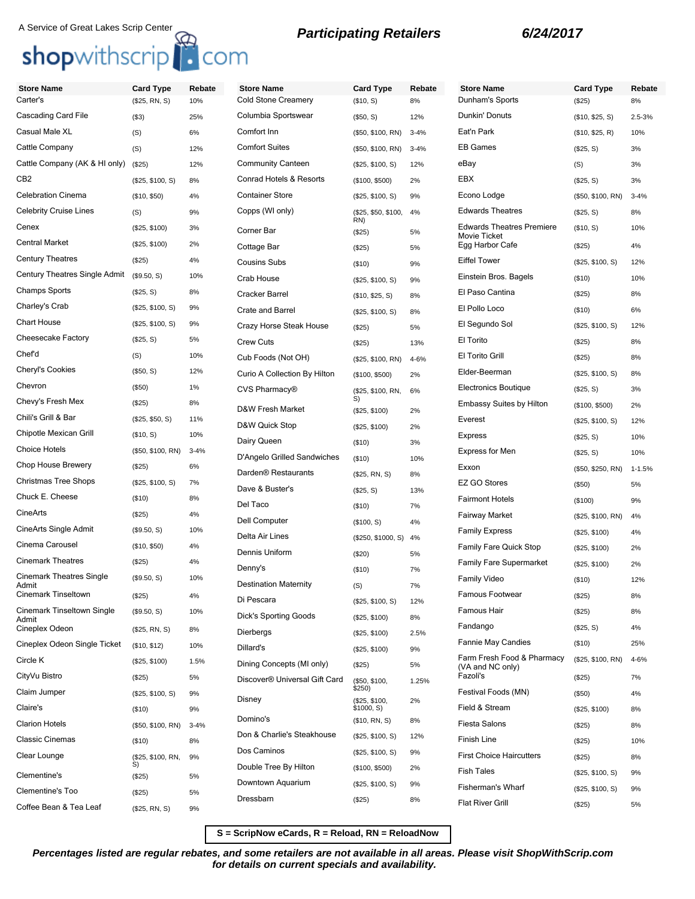## A Service of Great Lakes Scrip Center<br> **Shop**withscrip<br> **COM**

| <b>Store Name</b>                        | <b>Card Type</b>  | Rebate   | <b>Store Name</b>                         | <b>Card Type</b>            | Rebate   | <b>Store Name</b>                                | <b>Card Type</b>  | Rebate     |
|------------------------------------------|-------------------|----------|-------------------------------------------|-----------------------------|----------|--------------------------------------------------|-------------------|------------|
| Carter's                                 | (\$25, RN, S)     | 10%      | <b>Cold Stone Creamery</b>                | (\$10, S)                   | 8%       | Dunham's Sports                                  | (\$25)            | 8%         |
| Cascading Card File                      | $($ \$3)          | 25%      | Columbia Sportswear                       | (\$50, S)                   | 12%      | Dunkin' Donuts                                   | (\$10, \$25, S)   | 2.5-3%     |
| Casual Male XL                           | (S)               | 6%       | Comfort Inn                               | (\$50, \$100, RN)           | $3 - 4%$ | Eat'n Park                                       | (\$10, \$25, R)   | 10%        |
| Cattle Company                           | (S)               | 12%      | <b>Comfort Suites</b>                     | (\$50, \$100, RN)           | $3 - 4%$ | <b>EB Games</b>                                  | (\$25, S)         | 3%         |
| Cattle Company (AK & HI only)            | (\$25)            | 12%      | <b>Community Canteen</b>                  | (\$25, \$100, S)            | 12%      | eBay                                             | (S)               | 3%         |
| CB2                                      | (\$25, \$100, S)  | 8%       | Conrad Hotels & Resorts                   | (\$100, \$500)              | 2%       | EBX                                              | (\$25, S)         | 3%         |
| <b>Celebration Cinema</b>                | (\$10, \$50)      | 4%       | <b>Container Store</b>                    | (\$25, \$100, S)            | 9%       | Econo Lodge                                      | (\$50, \$100, RN) | $3 - 4%$   |
| <b>Celebrity Cruise Lines</b>            | (S)               | 9%       | Copps (WI only)                           | (\$25, \$50, \$100,         | 4%       | <b>Edwards Theatres</b>                          | (\$25, S)         | 8%         |
| Cenex                                    | (\$25, \$100)     | 3%       | Corner Bar                                | RN)<br>(\$25)               | 5%       | <b>Edwards Theatres Premiere</b><br>Movie Ticket | (\$10, S)         | 10%        |
| <b>Central Market</b>                    | (\$25, \$100)     | 2%       | Cottage Bar                               | (\$25)                      | 5%       | Egg Harbor Cafe                                  | (\$25)            | 4%         |
| <b>Century Theatres</b>                  | (\$25)            | 4%       | <b>Cousins Subs</b>                       | (\$10)                      | 9%       | <b>Eiffel Tower</b>                              | (\$25, \$100, S)  | 12%        |
| Century Theatres Single Admit            | (\$9.50, S)       | 10%      | Crab House                                | (\$25, \$100, S)            | 9%       | Einstein Bros. Bagels                            | ( \$10)           | 10%        |
| <b>Champs Sports</b>                     | (\$25, S)         | 8%       | <b>Cracker Barrel</b>                     | (\$10, \$25, S)             | 8%       | El Paso Cantina                                  | (\$25)            | 8%         |
| Charley's Crab                           | (\$25, \$100, S)  | 9%       | Crate and Barrel                          | (\$25, \$100, S)            | 8%       | El Pollo Loco                                    | ( \$10)           | 6%         |
| Chart House                              | (\$25, \$100, S)  | 9%       | Crazy Horse Steak House                   | (\$25)                      | 5%       | El Segundo Sol                                   | (\$25, \$100, S)  | 12%        |
| Cheesecake Factory                       | (\$25, S)         | 5%       | <b>Crew Cuts</b>                          | (\$25)                      | 13%      | El Torito                                        | (\$25)            | 8%         |
| Chef'd                                   | (S)               | 10%      | Cub Foods (Not OH)                        | (\$25, \$100, RN)           | 4-6%     | El Torito Grill                                  | (\$25)            | 8%         |
| Cheryl's Cookies                         | (\$50, S)         | 12%      | Curio A Collection By Hilton              | (\$100, \$500)              | 2%       | Elder-Beerman                                    | (\$25, \$100, S)  | 8%         |
| Chevron                                  | (\$50)            | 1%       | CVS Pharmacy®                             | (\$25, \$100, RN,           | 6%       | <b>Electronics Boutique</b>                      | (\$25, S)         | 3%         |
| Chevy's Fresh Mex                        | (\$25)            | 8%       | D&W Fresh Market                          | S)<br>(\$25, \$100)         | 2%       | <b>Embassy Suites by Hilton</b>                  | (\$100, \$500)    | 2%         |
| Chili's Grill & Bar                      | (\$25, \$50, S)   | 11%      | D&W Quick Stop                            | (\$25, \$100)               | 2%       | Everest                                          | (\$25, \$100, S)  | 12%        |
| Chipotle Mexican Grill                   | (\$10, S)         | 10%      | Dairy Queen                               | (\$10)                      | 3%       | <b>Express</b>                                   | (\$25, S)         | 10%        |
| <b>Choice Hotels</b>                     | (\$50, \$100, RN) | $3 - 4%$ | D'Angelo Grilled Sandwiches               | (\$10)                      | 10%      | <b>Express for Men</b>                           | (\$25, S)         | 10%        |
| Chop House Brewery                       | (\$25)            | 6%       | Darden <sup>®</sup> Restaurants           | (\$25, RN, S)               | 8%       | Exxon                                            | (\$50, \$250, RN) | $1 - 1.5%$ |
| Christmas Tree Shops                     | (\$25, \$100, S)  | 7%       | Dave & Buster's                           | (\$25, S)                   | 13%      | <b>EZ GO Stores</b>                              | (\$50)            | 5%         |
| Chuck E. Cheese                          | (\$10)            | 8%       | Del Taco                                  | (\$10)                      | 7%       | <b>Fairmont Hotels</b>                           | (\$100)           | 9%         |
| CineArts                                 | (\$25)            | 4%       | <b>Dell Computer</b>                      | (\$100, S)                  | 4%       | Fairway Market                                   | (\$25, \$100, RN) | 4%         |
| CineArts Single Admit                    | (\$9.50, S)       | 10%      | Delta Air Lines                           | (\$250, \$1000, S)          | 4%       | <b>Family Express</b>                            | (\$25, \$100)     | 4%         |
| Cinema Carousel                          | (\$10, \$50)      | 4%       | Dennis Uniform                            | (\$20)                      | 5%       | Family Fare Quick Stop                           | (\$25, \$100)     | 2%         |
| <b>Cinemark Theatres</b>                 | (\$25)            | 4%       | Denny's                                   | (\$10)                      | 7%       | Family Fare Supermarket                          | (\$25, \$100)     | 2%         |
| <b>Cinemark Theatres Single</b><br>Admit | (\$9.50, S)       | 10%      | <b>Destination Maternity</b>              | (S)                         | 7%       | <b>Family Video</b>                              | (\$10)            | 12%        |
| <b>Cinemark Tinseltown</b>               | (\$25)            | 4%       | Di Pescara                                | (\$25, \$100, S)            | 12%      | Famous Footwear                                  | (\$25)            | 8%         |
| Cinemark Tinseltown Single               | (\$9.50, S)       | 10%      | <b>Dick's Sporting Goods</b>              | (\$25, \$100)               | 8%       | Famous Hair                                      | (\$25)            | 8%         |
| Admit<br>Cineplex Odeon                  | (\$25, RN, S)     | 8%       | Dierbergs                                 | (\$25, \$100)               | 2.5%     | Fandango                                         | (\$25, S)         | 4%         |
| Cineplex Odeon Single Ticket             | (\$10, \$12)      | 10%      | Dillard's                                 | (\$25, \$100)               | 9%       | <b>Fannie May Candies</b>                        | (\$10)            | 25%        |
| Circle K                                 | (\$25, \$100)     | 1.5%     | Dining Concepts (MI only)                 | (\$25)                      | 5%       | Farm Fresh Food & Pharmacy<br>(VA and NC only)   | (\$25, \$100, RN) | 4-6%       |
| CityVu Bistro                            | (\$25)            | 5%       | Discover <sup>®</sup> Universal Gift Card | (\$50, \$100,               | 1.25%    | Fazoli's                                         | (\$25)            | 7%         |
| Claim Jumper                             | (\$25, \$100, S)  | 9%       |                                           | \$250)                      |          | Festival Foods (MN)                              | (\$50)            | 4%         |
| Claire's                                 | (\$10)            | 9%       | Disney                                    | (\$25, \$100,<br>\$1000, S) | 2%       | Field & Stream                                   | (\$25, \$100)     | 8%         |
| <b>Clarion Hotels</b>                    | (\$50, \$100, RN) | $3 - 4%$ | Domino's                                  | (\$10, RN, S)               | 8%       | <b>Fiesta Salons</b>                             | (\$25)            | 8%         |
| <b>Classic Cinemas</b>                   | (\$10)            | 8%       | Don & Charlie's Steakhouse                | (\$25, \$100, S)            | 12%      | Finish Line                                      | (\$25)            | 10%        |
| Clear Lounge                             | (\$25, \$100, RN, | 9%       | Dos Caminos                               | (\$25, \$100, S)            | 9%       | <b>First Choice Haircutters</b>                  | (\$25)            | 8%         |
| Clementine's                             | S)<br>(\$25)      | 5%       | Double Tree By Hilton                     | (\$100, \$500)              | 2%       | <b>Fish Tales</b>                                | (\$25, \$100, S)  | 9%         |
| Clementine's Too                         | (\$25)            | 5%       | Downtown Aquarium                         | (\$25, \$100, S)            | 9%       | <b>Fisherman's Wharf</b>                         | (\$25, \$100, S)  | 9%         |
| Coffee Bean & Tea Leaf                   | (\$25, RN, S)     | 9%       | Dressbarn                                 | (\$25)                      | 8%       | <b>Flat River Grill</b>                          | (\$25)            | 5%         |
|                                          |                   |          |                                           |                             |          |                                                  |                   |            |

**S = ScripNow eCards, R = Reload, RN = ReloadNow**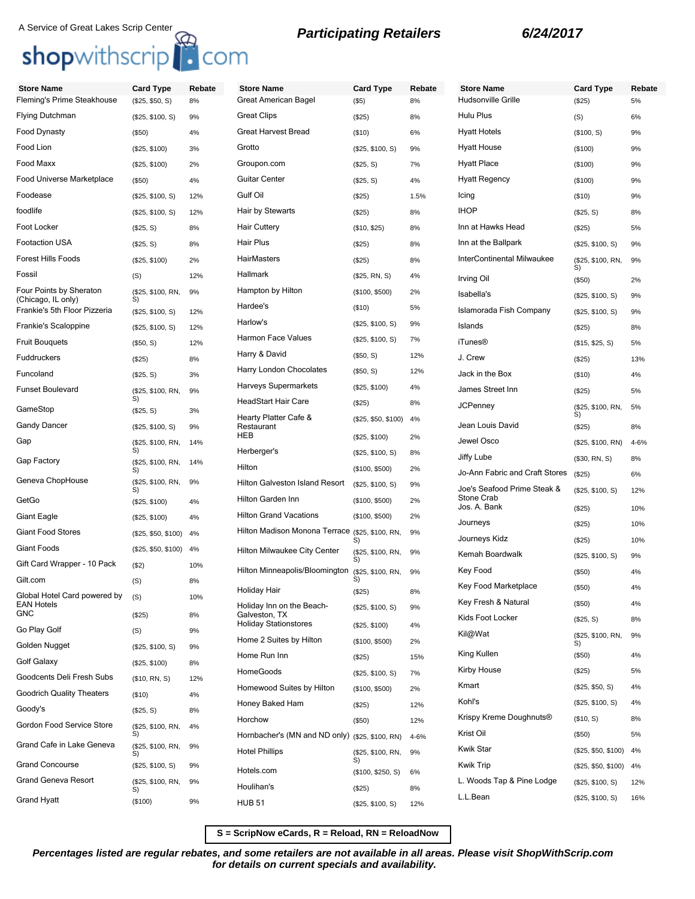## A Service of Great Lakes Scrip Center<br> **Shop**withscrip<br> **Participating Retailers** 6/24/2017

| <b>Store Name</b><br>Fleming's Prime Steakhouse    | <b>Card Type</b><br>(\$25, \$50, S) | Rebate<br>8% | <b>Store Name</b><br>Great American Bagel       | <b>Card Type</b><br>$($ \$5) | Rebate<br>8% | <b>Store Name</b><br>Hudsonville Grille   | <b>Card Type</b><br>(\$25) | Rebate<br>5% |
|----------------------------------------------------|-------------------------------------|--------------|-------------------------------------------------|------------------------------|--------------|-------------------------------------------|----------------------------|--------------|
| Flying Dutchman                                    | (\$25, \$100, S)                    | 9%           | <b>Great Clips</b>                              | (\$25)                       | 8%           | Hulu Plus                                 | (S)                        | 6%           |
| Food Dynasty                                       | (\$50)                              | 4%           | Great Harvest Bread                             | ( \$10)                      | 6%           | <b>Hyatt Hotels</b>                       | (\$100, S)                 | 9%           |
| Food Lion                                          | (\$25, \$100)                       | 3%           | Grotto                                          | (\$25, \$100, S)             | 9%           | <b>Hyatt House</b>                        | (\$100)                    | 9%           |
| Food Maxx                                          | (\$25, \$100)                       | 2%           | Groupon.com                                     | (\$25, S)                    | 7%           | <b>Hyatt Place</b>                        | (\$100)                    | 9%           |
| Food Universe Marketplace                          | (\$50)                              | 4%           | <b>Guitar Center</b>                            | (\$25, S)                    | 4%           | <b>Hyatt Regency</b>                      | (\$100)                    | 9%           |
| Foodease                                           | (\$25, \$100, S)                    | 12%          | Gulf Oil                                        | (\$25)                       | 1.5%         | Icing                                     | (\$10)                     | 9%           |
| foodlife                                           | (\$25, \$100, S)                    | 12%          | Hair by Stewarts                                | (\$25)                       | 8%           | <b>IHOP</b>                               | (\$25, S)                  | 8%           |
| Foot Locker                                        | (\$25, S)                           | 8%           | <b>Hair Cuttery</b>                             | (\$10, \$25)                 | 8%           | Inn at Hawks Head                         | (\$25)                     | 5%           |
| Footaction USA                                     | (\$25, S)                           | 8%           | Hair Plus                                       | (\$25)                       | 8%           | Inn at the Ballpark                       | (\$25, \$100, S)           | 9%           |
| Forest Hills Foods                                 | (\$25, \$100)                       | 2%           | HairMasters                                     | (\$25)                       | 8%           | InterContinental Milwaukee                | (\$25, \$100, RN,          | 9%           |
| Fossil                                             | (S)                                 | 12%          | Hallmark                                        | (\$25, RN, S)                | 4%           | Irving Oil                                | S)<br>(\$50)               | 2%           |
| Four Points by Sheraton                            | (\$25, \$100, RN,                   | 9%           | Hampton by Hilton                               | (\$100, \$500)               | 2%           | Isabella's                                | (\$25, \$100, S)           | 9%           |
| (Chicago, IL only)<br>Frankie's 5th Floor Pizzeria | S)<br>(\$25, \$100, S)              | 12%          | Hardee's                                        | ( \$10)                      | 5%           | Islamorada Fish Company                   | (\$25, \$100, S)           | 9%           |
| Frankie's Scaloppine                               | (\$25, \$100, S)                    | 12%          | Harlow's                                        | (\$25, \$100, S)             | 9%           | Islands                                   | (\$25)                     | 8%           |
| <b>Fruit Bouquets</b>                              | (\$50, S)                           | 12%          | <b>Harmon Face Values</b>                       | (\$25, \$100, S)             | 7%           | <b>iTunes®</b>                            | (\$15, \$25, \$)           | 5%           |
| Fuddruckers                                        |                                     | 8%           | Harry & David                                   | (\$50, S)                    | 12%          | J. Crew                                   |                            | 13%          |
| Funcoland                                          | (\$25)                              | 3%           | Harry London Chocolates                         | (\$50, S)                    | 12%          | Jack in the Box                           | (\$25)<br>(\$10)           |              |
| <b>Funset Boulevard</b>                            | (\$25, S)<br>(\$25, \$100, RN,      | 9%           | Harveys Supermarkets                            | (\$25, \$100)                | 4%           | James Street Inn                          | (\$25)                     | 4%<br>5%     |
|                                                    | S)                                  |              | <b>HeadStart Hair Care</b>                      | (\$25)                       | 8%           | <b>JCPenney</b>                           |                            |              |
| GameStop                                           | (\$25, S)                           | 3%           | Hearty Platter Cafe &                           | (\$25, \$50, \$100)          | 4%           |                                           | (\$25, \$100, RN,<br>S)    | 5%           |
| Gandy Dancer                                       | (\$25, \$100, S)                    | 9%           | Restaurant<br>HEB                               | (\$25, \$100)                | 2%           | Jean Louis David                          | (\$25)                     | 8%           |
| Gap                                                | (\$25, \$100, RN,<br>S)             | 14%          | Herberger's                                     | (\$25, \$100, S)             | 8%           | Jewel Osco                                | (\$25, \$100, RN)          | 4-6%         |
| Gap Factory                                        | (\$25, \$100, RN,                   | 14%          | Hilton                                          | (\$100, \$500)               | 2%           | Jiffy Lube                                | (\$30, RN, S)              | 8%           |
| Geneva ChopHouse                                   | S)<br>(\$25, \$100, RN,             | 9%           | Hilton Galveston Island Resort                  |                              | 9%           | Jo-Ann Fabric and Craft Stores            | (\$25)                     | 6%           |
| GetGo                                              | S)                                  |              | Hilton Garden Inn                               | (\$25, \$100, S)             |              | Joe's Seafood Prime Steak &<br>Stone Crab | (\$25, \$100, S)           | 12%          |
|                                                    | (\$25, \$100)                       | 4%           | <b>Hilton Grand Vacations</b>                   | (\$100, \$500)               | 2%           | Jos. A. Bank                              | (\$25)                     | 10%          |
| Giant Eagle                                        | (\$25, \$100)                       | 4%           | Hilton Madison Monona Terrace (\$25, \$100, RN, | (\$100, \$500)               | 2%           | Journeys                                  | (\$25)                     | 10%          |
| Giant Food Stores                                  | (\$25, \$50, \$100)                 | 4%           |                                                 | S)                           | 9%           | Journeys Kidz                             | (\$25)                     | 10%          |
| Giant Foods                                        | (\$25, \$50, \$100)                 | 4%           | Hilton Milwaukee City Center                    | (\$25, \$100, RN,<br>S)      | 9%           | Kemah Boardwalk                           | (\$25, \$100, S)           | 9%           |
| Gift Card Wrapper - 10 Pack                        | (\$2)                               | 10%          | Hilton Minneapolis/Bloomington                  | (\$25, \$100, RN,            | 9%           | Key Food                                  | (\$50)                     | 4%           |
| Gilt.com                                           | (S)                                 | 8%           | Holiday Hair                                    | S)<br>(\$25)                 | 8%           | Key Food Marketplace                      | (\$50)                     | 4%           |
| Global Hotel Card powered by<br><b>EAN Hotels</b>  | (S)                                 | 10%          | Holiday Inn on the Beach-                       | (\$25, \$100, S)             | 9%           | Key Fresh & Natural                       | (\$50)                     | 4%           |
| GNC                                                | (\$25)                              | 8%           | Galveston, TX<br><b>Holiday Stationstores</b>   | (\$25, \$100)                | 4%           | Kids Foot Locker                          | (\$25, S)                  | 8%           |
| Go Play Golf                                       | (S)                                 | 9%           | Home 2 Suites by Hilton                         | (\$100, \$500)               | 2%           | Kil@Wat                                   | (\$25, \$100, RN,          | 9%           |
| Golden Nugget                                      | (\$25, \$100, S)                    | 9%           | Home Run Inn                                    |                              | 15%          | King Kullen                               | (\$50)                     | 4%           |
| Golf Galaxy                                        | (\$25, \$100)                       | 8%           | <b>HomeGoods</b>                                | (\$25)                       |              | Kirby House                               | (\$25)                     | 5%           |
| Goodcents Deli Fresh Subs                          | (\$10, RN, S)                       | 12%          | Homewood Suites by Hilton                       | (\$25, \$100, S)             | 7%           | Kmart                                     | (\$25, \$50, S)            | 4%           |
| <b>Goodrich Quality Theaters</b>                   | (\$10)                              | 4%           | Honey Baked Ham                                 | (\$100, \$500)               | 2%           | Kohl's                                    | (\$25, \$100, S)           | 4%           |
| Goody's                                            | (\$25, S)                           | 8%           | Horchow                                         | (\$25)                       | 12%          | Krispy Kreme Doughnuts®                   | (\$10, S)                  | 8%           |
| Gordon Food Service Store                          | (\$25, \$100, RN,<br>S)             | 4%           | Hornbacher's (MN and ND only) (\$25, \$100, RN) | (\$50)                       | 12%          | Krist Oil                                 | $(\$50)$                   | 5%           |
| Grand Cafe in Lake Geneva                          | (\$25, \$100, RN,                   | 9%           | <b>Hotel Phillips</b>                           |                              | 4-6%         | Kwik Star                                 | (\$25, \$50, \$100)        | 4%           |
| <b>Grand Concourse</b>                             | S)<br>(\$25, \$100, S)              | 9%           |                                                 | (\$25, \$100, RN,<br>S)      | 9%           | <b>Kwik Trip</b>                          | (\$25, \$50, \$100)        | 4%           |
| Grand Geneva Resort                                | (\$25, \$100, RN,                   | 9%           | Hotels.com                                      | (\$100, \$250, S)            | 6%           | L. Woods Tap & Pine Lodge                 | (\$25, \$100, S)           | 12%          |
|                                                    | S)                                  |              | Houlihan's                                      | (\$25)                       | 8%           | L.L.Bean                                  |                            |              |
| Grand Hyatt                                        | (\$100)                             | 9%           | <b>HUB 51</b>                                   | (\$25, \$100, S)             | 12%          |                                           | (\$25, \$100, S)           | 16%          |

**S = ScripNow eCards, R = Reload, RN = ReloadNow**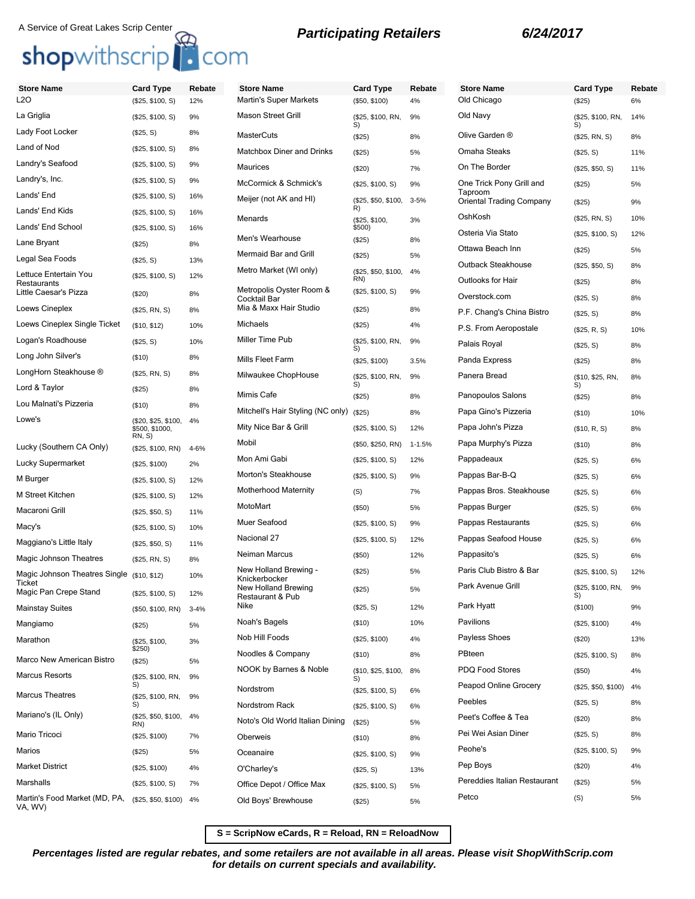## A Service of Great Lakes Scrip Center<br> **Shop**withscrip<br> **COM**

| <b>Store Name</b>                                            | <b>Card Type</b>                      | Rebate     | <b>Store Name</b>                        | <b>Card Type</b>           | Rebate     |
|--------------------------------------------------------------|---------------------------------------|------------|------------------------------------------|----------------------------|------------|
| L2O                                                          | (\$25, \$100, S)                      | 12%        | <b>Martin's Super Markets</b>            | (\$50, \$100)              | 4%         |
| La Griglia                                                   | (\$25, \$100, S)                      | 9%         | <b>Mason Street Grill</b>                | (\$25, \$100, RN,<br>S)    | 9%         |
| Lady Foot Locker                                             | (\$25, S)                             | 8%         | <b>MasterCuts</b>                        | (\$25)                     | 8%         |
| Land of Nod                                                  | (\$25, \$100, S)                      | 8%         | Matchbox Diner and Drinks                | (\$25)                     | 5%         |
| Landry's Seafood                                             | (\$25, \$100, S)                      | 9%         | <b>Maurices</b>                          | $(\$20)$                   | 7%         |
| Landry's, Inc.                                               | (\$25, \$100, S)                      | 9%         | McCormick & Schmick's                    | (\$25, \$100, S)           | 9%         |
| Lands' End                                                   | (\$25, \$100, S)                      | 16%        | Meijer (not AK and HI)                   | (\$25, \$50, \$100,<br>R)  | $3 - 5%$   |
| Lands' End Kids                                              | (\$25, \$100, S)                      | 16%        | Menards                                  | (\$25, \$100,              | 3%         |
| Lands' End School                                            | (\$25, \$100, S)                      | 16%        | Men's Wearhouse                          | \$500)<br>(\$25)           | 8%         |
| Lane Bryant                                                  | (\$25)                                | 8%         | Mermaid Bar and Grill                    | (\$25)                     | 5%         |
| Legal Sea Foods                                              | (\$25, S)                             | 13%        | Metro Market (WI only)                   |                            | 4%         |
| Lettuce Entertain You<br>Restaurants                         | (\$25, \$100, S)                      | 12%        |                                          | (\$25, \$50, \$100,<br>RN) |            |
| Little Caesar's Pizza                                        | (\$20)                                | 8%         | Metropolis Oyster Room &<br>Cocktail Bar | (\$25, \$100, S)           | 9%         |
| Loews Cineplex                                               | (\$25, RN, S)                         | 8%         | Mia & Maxx Hair Studio                   | (\$25)                     | 8%         |
| Loews Cineplex Single Ticket                                 | (\$10, \$12)                          | 10%        | Michaels                                 | (\$25)                     | 4%         |
| Logan's Roadhouse                                            | (\$25, S)                             | 10%        | Miller Time Pub                          | (\$25, \$100, RN,<br>S)    | 9%         |
| Long John Silver's                                           | (\$10)                                | 8%         | Mills Fleet Farm                         | (\$25, \$100)              | 3.5%       |
| LongHorn Steakhouse ®                                        | (\$25, RN, S)                         | 8%         | Milwaukee ChopHouse                      | (\$25, \$100, RN,          | 9%         |
| Lord & Taylor                                                | (\$25)                                | 8%         | Mimis Cafe                               | S)<br>(\$25)               | 8%         |
| Lou Malnati's Pizzeria                                       | (\$10)                                | 8%         | Mitchell's Hair Styling (NC only)        | (S25)                      | 8%         |
| Lowe's                                                       | (\$20, \$25, \$100,<br>\$500, \$1000, | 4%         | Mity Nice Bar & Grill                    | (\$25, \$100, S)           | 12%        |
| Lucky (Southern CA Only)                                     | <b>RN, S)</b>                         |            | Mobil                                    | (\$50, \$250, RN)          | $1 - 1.5%$ |
| Lucky Supermarket                                            | (\$25, \$100, RN)                     | 4-6%       | Mon Ami Gabi                             | (\$25, \$100, S)           | 12%        |
| M Burger                                                     | (\$25, \$100)                         | 2%         | Morton's Steakhouse                      | (\$25, \$100, S)           | 9%         |
| M Street Kitchen                                             | (\$25, \$100, S)                      | 12%<br>12% | Motherhood Maternity                     | (S)                        | 7%         |
| Macaroni Grill                                               | (\$25, \$100, S)                      |            | MotoMart                                 | (\$50)                     | 5%         |
| Macy's                                                       | (\$25, \$50, S)                       | 11%        | Muer Seafood                             | (\$25, \$100, S)           | 9%         |
|                                                              | (\$25, \$100, S)                      | 10%        | Nacional 27                              | (\$25, \$100, S)           | 12%        |
| Maggiano's Little Italy<br>Magic Johnson Theatres            | (\$25, \$50, S)                       | 11%        | Neiman Marcus                            | (\$50)                     | 12%        |
|                                                              | (\$25, RN, S)                         | 8%         | New Holland Brewing -                    | (\$25)                     | 5%         |
| Magic Johnson Theatres Single (\$10, \$12)<br>Ticket         |                                       | 10%        | Knickerbocker<br>New Holland Brewing     |                            | 5%         |
| Magic Pan Crepe Stand                                        | (\$25, \$100, S)                      | 12%        | Restaurant & Pub                         | (\$25)                     |            |
| <b>Mainstay Suites</b>                                       | (\$50, \$100, RN)                     | $3 - 4%$   | Nike                                     | (\$25, S)                  | 12%        |
| Mangiamo                                                     | (\$25)                                | 5%         | Noah's Bagels                            | $($ \$10)                  | 10%        |
| Marathon                                                     | (\$25, \$100,<br>\$250)               | 3%         | Nob Hill Foods                           | (\$25, \$100)              | 4%         |
| Marco New American Bistro                                    | (\$25)                                | 5%         | Noodles & Company                        | $($ \$10)                  | 8%         |
| <b>Marcus Resorts</b>                                        | (\$25, \$100, RN,                     | 9%         | NOOK by Barnes & Noble                   | (\$10, \$25, \$100,<br>S)  | 8%         |
| <b>Marcus Theatres</b>                                       | S)<br>(\$25, \$100, RN,               | 9%         | Nordstrom                                | (\$25, \$100, S)           | 6%         |
| Mariano's (IL Only)                                          | S)                                    |            | Nordstrom Rack                           | (\$25, \$100, S)           | 6%         |
|                                                              | (\$25, \$50, \$100,<br>RN)            | 4%         | Noto's Old World Italian Dining          | (\$25)                     | 5%         |
| Mario Tricoci                                                | (\$25, \$100)                         | 7%         | Oberweis                                 | (\$10)                     | 8%         |
| Marios                                                       | (\$25)                                | 5%         | Oceanaire                                | (\$25, \$100, S)           | 9%         |
| <b>Market District</b>                                       | (\$25, \$100)                         | 4%         | O'Charley's                              | (\$25, S)                  | 13%        |
| Marshalls                                                    | (\$25, \$100, S)                      | 7%         | Office Depot / Office Max                | (\$25, \$100, S)           | 5%         |
| Martin's Food Market (MD, PA, (\$25, \$50, \$100)<br>VA, WV) |                                       | 4%         | Old Boys' Brewhouse                      | (\$25)                     | 5%         |
|                                                              |                                       |            |                                          |                            |            |

| <b>Store Name</b><br>Old Chicago    | <b>Card Type</b><br>$(\$25)$ | Rebate<br>6% |
|-------------------------------------|------------------------------|--------------|
| Old Navy                            | (\$25, \$100, RN,            | 14%          |
| Olive Garden ®                      | S)<br>(\$25, RN, S)          | 8%           |
| Omaha Steaks                        | (\$25, S)                    | 11%          |
| On The Border                       | (\$25, \$50, S)              | 11%          |
| One Trick Pony Grill and            | (\$25)                       | 5%           |
| Taproom<br>Oriental Trading Company | (\$25)                       | 9%           |
| OshKosh                             | (\$25, RN, S)                | 10%          |
| Osteria Via Stato                   | (\$25, \$100, S)             | 12%          |
| Ottawa Beach Inn                    | (\$25)                       | 5%           |
| Outback Steakhouse                  | (\$25, \$50, S)              | 8%           |
| Outlooks for Hair                   | (\$25)                       | 8%           |
| Overstock.com                       | (\$25, S)                    | 8%           |
| P.F. Chang's China Bistro           | (\$25, S)                    | 8%           |
| P.S. From Aeropostale               | (\$25, R, S)                 | 10%          |
| Palais Royal                        | (\$25, S)                    | 8%           |
| Panda Express                       | (\$25)                       | 8%           |
| Panera Bread                        | (\$10, \$25, RN,<br>S)       | 8%           |
| Panopoulos Salons                   | (\$25)                       | 8%           |
| Papa Gino's Pizzeria                | $($ \$10)                    | 10%          |
| Papa John's Pizza                   | (\$10, R, S)                 | 8%           |
| Papa Murphy's Pizza                 | (\$10)                       | 8%           |
| Pappadeaux                          | (\$25, S)                    | 6%           |
| Pappas Bar-B-Q                      | (\$25, S)                    | 6%           |
| Pappas Bros. Steakhouse             | (\$25, S)                    | 6%           |
| Pappas Burger                       | (\$25, S)                    | 6%           |
| Pappas Restaurants                  | (\$25, S)                    | 6%           |
| Pappas Seafood House                | (\$25, S)                    | 6%           |
| Pappasito's                         | (\$25, S)                    | 6%           |
| Paris Club Bistro & Bar             | (\$25, \$100, S)             | 12%          |
| Park Avenue Grill                   | (\$25, \$100, RN,<br>S)      | 9%           |
| Park Hyatt                          | (\$100)                      | 9%           |
| Pavilions                           | (\$25, \$100)                | 4%           |
| Payless Shoes                       | (\$20)                       | 13%          |
| PBteen                              | (\$25, \$100, S)             | 8%           |
| <b>PDQ Food Stores</b>              | (\$50)                       | 4%           |
| Peapod Online Grocery               | (\$25, \$50, \$100)          | 4%           |
| Peebles                             | (\$25, S)                    | 8%           |
| Peet's Coffee & Tea                 | (\$20)                       | 8%           |
| Pei Wei Asian Diner                 | (\$25, S)                    | 8%           |
| Peohe's                             | (\$25, \$100, S)             | 9%           |
| Pep Boys                            | (\$20)                       | 4%           |
| Pereddies Italian Restaurant        | (\$25)                       | 5%           |
| Petco                               | (S)                          | 5%           |

**S = ScripNow eCards, R = Reload, RN = ReloadNow**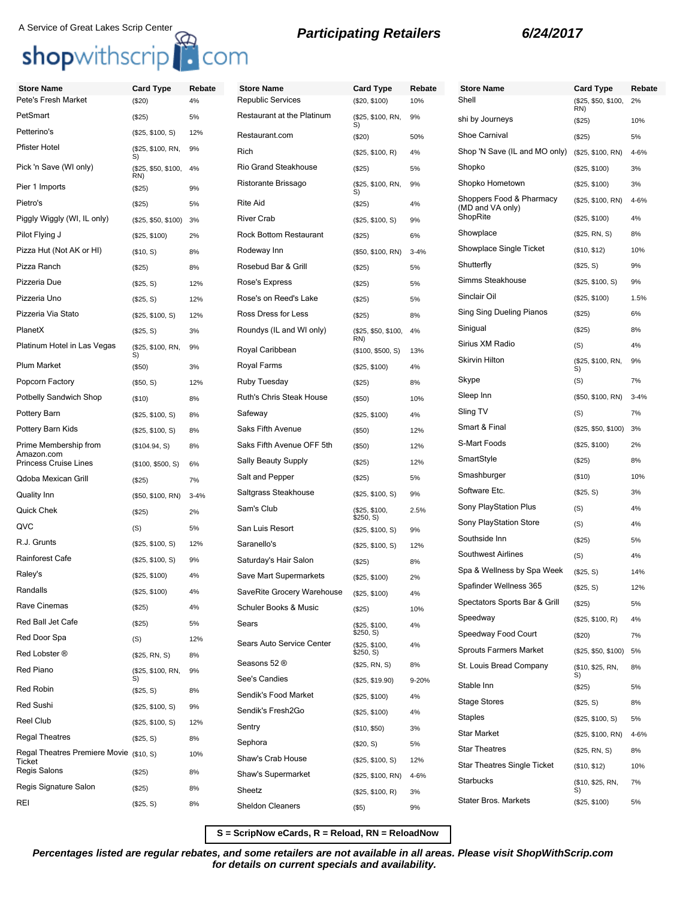## A Service of Great Lakes Scrip Center<br> **Shop**withscrip<br> **Participating Retailers** 6/24/2017

| <b>Store Name</b>                          | <b>Card Type</b>        | Rebate   | <b>Store Name</b>                        | <b>Card Type</b>              | Rebate    | <b>Store Name</b>                            | <b>Card Type</b>           | Rebate   |
|--------------------------------------------|-------------------------|----------|------------------------------------------|-------------------------------|-----------|----------------------------------------------|----------------------------|----------|
| Pete's Fresh Market                        | (\$20)                  | 4%       | <b>Republic Services</b>                 | (\$20, \$100)                 | 10%       | Shell                                        | (\$25, \$50, \$100,<br>RN) | 2%       |
| PetSmart                                   | (\$25)                  | 5%       | Restaurant at the Platinum               | (\$25, \$100, RN,<br>S)       | 9%        | shi by Journeys                              | (\$25)                     | 10%      |
| Petterino's                                | (\$25, \$100, S)        | 12%      | Restaurant.com                           | (\$20)                        | 50%       | <b>Shoe Carnival</b>                         | (\$25)                     | 5%       |
| Pfister Hotel                              | (\$25, \$100, RN,<br>S) | 9%       | Rich                                     | (\$25, \$100, R)              | 4%        | Shop 'N Save (IL and MO only)                | (\$25, \$100, RN)          | 4-6%     |
| Pick 'n Save (WI only)                     | (\$25, \$50, \$100,     | 4%       | <b>Rio Grand Steakhouse</b>              | (\$25)                        | 5%        | Shopko                                       | (\$25, \$100)              | 3%       |
| Pier 1 Imports                             | RN)<br>(\$25)           | 9%       | Ristorante Brissago                      | (\$25, \$100, RN,             | 9%        | Shopko Hometown                              | (\$25, \$100)              | 3%       |
| Pietro's                                   | (\$25)                  | 5%       | <b>Rite Aid</b>                          | S)<br>(\$25)                  | 4%        | Shoppers Food & Pharmacy<br>(MD and VA only) | (\$25, \$100, RN)          | 4-6%     |
| Piggly Wiggly (WI, IL only)                | (\$25, \$50, \$100)     | 3%       | <b>River Crab</b>                        | (\$25, \$100, S)              | 9%        | ShopRite                                     | (\$25, \$100)              | 4%       |
| Pilot Flying J                             | (\$25, \$100)           | 2%       | <b>Rock Bottom Restaurant</b>            | (\$25)                        | 6%        | Showplace                                    | (\$25, RN, S)              | 8%       |
| Pizza Hut (Not AK or HI)                   | (\$10, S)               | 8%       | Rodeway Inn                              | (\$50, \$100, RN)             | $3 - 4%$  | Showplace Single Ticket                      | (\$10, \$12)               | 10%      |
| Pizza Ranch                                | (\$25)                  | 8%       | Rosebud Bar & Grill                      | (\$25)                        | 5%        | Shutterfly                                   | (\$25, S)                  | 9%       |
| Pizzeria Due                               | (\$25, S)               | 12%      | Rose's Express                           | (\$25)                        | 5%        | Simms Steakhouse                             | (\$25, \$100, S)           | 9%       |
| Pizzeria Uno                               | (\$25, S)               | 12%      | Rose's on Reed's Lake                    | (\$25)                        | 5%        | Sinclair Oil                                 | (\$25, \$100)              | 1.5%     |
| Pizzeria Via Stato                         | (\$25, \$100, S)        | 12%      | Ross Dress for Less                      | (\$25)                        | 8%        | Sing Sing Dueling Pianos                     | (\$25)                     | 6%       |
| PlanetX                                    | (\$25, S)               | 3%       | Roundys (IL and WI only)                 | (\$25, \$50, \$100,           | 4%        | Sinigual                                     | (\$25)                     | 8%       |
| Platinum Hotel in Las Vegas                | (\$25, \$100, RN,       | 9%       | Royal Caribbean                          | RN)<br>(\$100, \$500, S)      | 13%       | Sirius XM Radio                              | (S)                        | 4%       |
| Plum Market                                | S)<br>(\$50)            | 3%       | <b>Royal Farms</b>                       | (\$25, \$100)                 | 4%        | <b>Skirvin Hilton</b>                        | (\$25, \$100, RN,<br>S)    | 9%       |
| Popcorn Factory                            | (\$50, S)               | 12%      | Ruby Tuesday                             | (\$25)                        | 8%        | Skype                                        | (S)                        | 7%       |
| Potbelly Sandwich Shop                     | (\$10)                  | 8%       | Ruth's Chris Steak House                 | (\$50)                        | 10%       | Sleep Inn                                    | (\$50, \$100, RN)          | $3 - 4%$ |
| Pottery Barn                               | (\$25, \$100, S)        | 8%       | Safeway                                  | (\$25, \$100)                 | 4%        | Sling TV                                     | (S)                        | 7%       |
| Pottery Barn Kids                          | (\$25, \$100, S)        | 8%       | Saks Fifth Avenue                        | (\$50)                        | 12%       | Smart & Final                                | (\$25, \$50, \$100)        | 3%       |
| Prime Membership from                      | (\$104.94, S)           | 8%       | Saks Fifth Avenue OFF 5th                | (\$50)                        | 12%       | S-Mart Foods                                 | (\$25, \$100)              | 2%       |
| Amazon.com<br><b>Princess Cruise Lines</b> | (\$100, \$500, S)       | 6%       | <b>Sally Beauty Supply</b>               | (\$25)                        | 12%       | SmartStyle                                   | (\$25)                     | 8%       |
| Qdoba Mexican Grill                        | (\$25)                  | 7%       | Salt and Pepper                          | (\$25)                        | 5%        | Smashburger                                  | (\$10)                     | 10%      |
| Quality Inn                                | (\$50, \$100, RN)       | $3 - 4%$ | Saltgrass Steakhouse                     | (\$25, \$100, S)              | 9%        | Software Etc.                                | (\$25, S)                  | 3%       |
| Quick Chek                                 | (\$25)                  | 2%       | Sam's Club                               | (\$25, \$100,                 | 2.5%      | Sony PlayStation Plus                        | (S)                        | 4%       |
| QVC                                        | (S)                     | 5%       | San Luis Resort                          | \$250, S)<br>(\$25, \$100, S) | 9%        | Sony PlayStation Store                       | (S)                        | 4%       |
| R.J. Grunts                                | (\$25, \$100, S)        | 12%      | Saranello's                              | (\$25, \$100, S)              | 12%       | Southside Inn                                | (\$25)                     | 5%       |
| Rainforest Cafe                            | (\$25, \$100, S)        | 9%       | Saturday's Hair Salon                    | (\$25)                        | 8%        | Southwest Airlines                           | (S)                        | 4%       |
| Raley's                                    | (\$25, \$100)           | 4%       | Save Mart Supermarkets                   | (\$25, \$100)                 | 2%        | Spa & Wellness by Spa Week                   | (\$25, S)                  | 14%      |
| Randalls                                   | (\$25, \$100)           | 4%       | SaveRite Grocery Warehouse (\$25, \$100) |                               | 4%        | Spafinder Wellness 365                       | (\$25, S)                  | 12%      |
| Rave Cinemas                               | (\$25)                  | 4%       | Schuler Books & Music                    | (\$25)                        | 10%       | Spectators Sports Bar & Grill                | (\$25)                     | 5%       |
| Red Ball Jet Cafe                          | (\$25)                  | 5%       | Sears                                    | (\$25, \$100,                 | 4%        | Speedway                                     | (\$25, \$100, R)           | 4%       |
| Red Door Spa                               | (S)                     | 12%      |                                          | \$250, S)                     |           | Speedway Food Court                          | (\$20)                     | 7%       |
| Red Lobster ®                              | (\$25, RN, S)           | 8%       | Sears Auto Service Center                | (\$25, \$100,<br>\$250, S)    | 4%        | <b>Sprouts Farmers Market</b>                | (\$25, \$50, \$100)        | 5%       |
| Red Piano                                  | (\$25, \$100, RN,       | 9%       | Seasons 52 ®                             | (\$25, RN, S)                 | 8%        | St. Louis Bread Company                      | (\$10, \$25, RN,           | 8%       |
| Red Robin                                  | S)<br>(\$25, S)         |          | See's Candies                            | (\$25, \$19.90)               | $9 - 20%$ | Stable Inn                                   | S)<br>(\$25)               | 5%       |
| Red Sushi                                  | (\$25, \$100, S)        | 8%<br>9% | Sendik's Food Market                     | (\$25, \$100)                 | 4%        | <b>Stage Stores</b>                          | (\$25, S)                  | 8%       |
| Reel Club                                  | (\$25, \$100, S)        | 12%      | Sendik's Fresh2Go                        | (\$25, \$100)                 | 4%        | <b>Staples</b>                               | (\$25, \$100, S)           | 5%       |
| <b>Regal Theatres</b>                      | (\$25, S)               | 8%       | Sentry                                   | (\$10, \$50)                  | 3%        | <b>Star Market</b>                           | (\$25, \$100, RN)          | 4-6%     |
| Regal Theatres Premiere Movie (\$10, S)    |                         |          | Sephora                                  | (\$20, S)                     | 5%        | <b>Star Theatres</b>                         | (\$25, RN, S)              | 8%       |
| Ticket                                     |                         | 10%      | Shaw's Crab House                        | (\$25, \$100, S)              | 12%       | Star Theatres Single Ticket                  | (\$10, \$12)               | 10%      |
| Regis Salons                               | (\$25)                  | 8%       | Shaw's Supermarket                       | (\$25, \$100, RN)             | $4 - 6%$  | Starbucks                                    | (\$10, \$25, RN,           | 7%       |
| Regis Signature Salon                      | (\$25)                  | 8%       | Sheetz                                   | (\$25, \$100, R)              | 3%        | <b>Stater Bros. Markets</b>                  | S)<br>(\$25, \$100)        | 5%       |
| REI                                        | (\$25, S)               | 8%       | <b>Sheldon Cleaners</b>                  | $($ \$5)                      | 9%        |                                              |                            |          |

**S = ScripNow eCards, R = Reload, RN = ReloadNow**